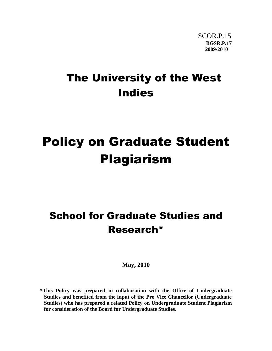## The University of the West Indies

# Policy on Graduate Student Plagiarism

### School for Graduate Studies and Research\*

**May, 2010**

**\*This Policy was prepared in collaboration with the Office of Undergraduate Studies and benefited from the input of the Pro Vice Chancellor (Undergraduate Studies) who has prepared a related Policy on Undergraduate Student Plagiarism for consideration of the Board for Undergraduate Studies.**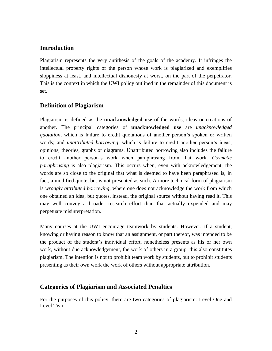#### **Introduction**

Plagiarism represents the very antithesis of the goals of the academy. It infringes the intellectual property rights of the person whose work is plagiarized and exemplifies sloppiness at least, and intellectual dishonesty at worst, on the part of the perpetrator. This is the context in which the UWI policy outlined in the remainder of this document is set.

#### **Definition of Plagiarism**

Plagiarism is defined as the **unacknowledged use** of the words, ideas or creations of another. The principal categories of **unacknowledged use** are *unacknowledged quotation*, which is failure to credit quotations of another person's spoken or written words; and *unattributed borrowing*, which is failure to credit another person's ideas, opinions, theories, graphs or diagrams. Unattributed borrowing also includes the failure to credit another person's work when paraphrasing from that work. *Cosmetic paraphrasing* is also plagiarism. This occurs when, even with acknowledgement, the words are so close to the original that what is deemed to have been paraphrased is, in fact, a modified quote, but is not presented as such. A more technical form of plagiarism is *wrongly attributed borrowing*, where one does not acknowledge the work from which one obtained an idea, but quotes, instead, the original source without having read it. This may well convey a broader research effort than that actually expended and may perpetuate misinterpretation.

Many courses at the UWI encourage teamwork by students. However, if a student, knowing or having reason to know that an assignment, or part thereof, was intended to be the product of the student's individual effort, nonetheless presents as his or her own work, without due acknowledgement, the work of others in a group, this also constitutes plagiarism. The intention is not to prohibit team work by students, but to prohibit students presenting as their own work the work of others without appropriate attribution.

#### **Categories of Plagiarism and Associated Penalties**

For the purposes of this policy, there are two categories of plagiarism: Level One and Level Two.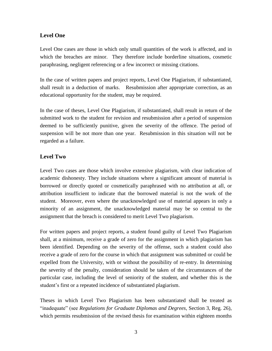#### **Level One**

Level One cases are those in which only small quantities of the work is affected, and in which the breaches are minor. They therefore include borderline situations, cosmetic paraphrasing, negligent referencing or a few incorrect or missing citations.

In the case of written papers and project reports, Level One Plagiarism, if substantiated, shall result in a deduction of marks. Resubmission after appropriate correction, as an educational opportunity for the student, may be required.

In the case of theses, Level One Plagiarism, if substantiated, shall result in return of the submitted work to the student for revision and resubmission after a period of suspension deemed to be sufficiently punitive, given the severity of the offence. The period of suspension will be not more than one year. Resubmission in this situation will not be regarded as a failure.

#### **Level Two**

Level Two cases are those which involve extensive plagiarism, with clear indication of academic dishonesty. They include situations where a significant amount of material is borrowed or directly quoted or cosmetically paraphrased with no attribution at all, or attribution insufficient to indicate that the borrowed material is not the work of the student. Moreover, even where the unacknowledged use of material appears in only a minority of an assignment, the unacknowledged material may be so central to the assignment that the breach is considered to merit Level Two plagiarism.

For written papers and project reports, a student found guilty of Level Two Plagiarism shall, at a minimum, receive a grade of zero for the assignment in which plagiarism has been identified. Depending on the severity of the offense, such a student could also receive a grade of zero for the course in which that assignment was submitted or could be expelled from the University, with or without the possibility of re-entry. In determining the severity of the penalty, consideration should be taken of the circumstances of the particular case, including the level of seniority of the student, and whether this is the student's first or a repeated incidence of substantiated plagiarism.

Theses in which Level Two Plagiarism has been substantiated shall be treated as "inadequate" (see *Regulations for Graduate Diplomas and Degrees*, Section 3, Reg. 26), which permits resubmission of the revised thesis for examination within eighteen months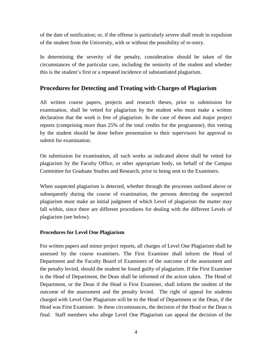of the date of notification; or, if the offense is particularly severe shall result in expulsion of the student from the University, with or without the possibility of re-entry.

In determining the severity of the penalty, consideration should be taken of the circumstances of the particular case, including the seniority of the student and whether this is the student's first or a repeated incidence of substantiated plagiarism.

#### **Procedures for Detecting and Treating with Charges of Plagiarism**

All written course papers, projects and research theses, prior to submission for examination, shall be vetted for plagiarism by the student who must make a written declaration that the work is free of plagiarism. In the case of theses and major project reports (comprising more than 25% of the total credits for the programme), this vetting by the student should be done before presentation to their supervisors for approval to submit for examination.

On submission for examination, all such works as indicated above shall be vetted for plagiarism by the Faculty Office, or other appropriate body, on behalf of the Campus Committee for Graduate Studies and Research, prior to being sent to the Examiners.

When suspected plagiarism is detected, whether through the processes outlined above or subsequently during the course of examination, the persons detecting the suspected plagiarism must make an initial judgment of which Level of plagiarism the matter may fall within, since there are different procedures for dealing with the different Levels of plagiarism (see below).

#### **Procedures for Level One Plagiarism**

For written papers and minor project reports, all charges of Level One Plagiarism shall be assessed by the course examiners. The First Examiner shall inform the Head of Department and the Faculty Board of Examiners of the outcome of the assessment and the penalty levied, should the student be found guilty of plagiarism. If the First Examiner is the Head of Department, the Dean shall be informed of the action taken. The Head of Department, or the Dean if the Head is First Examiner, shall inform the student of the outcome of the assessment and the penalty levied. The right of appeal for students charged with Level One Plagiarism will be to the Head of Department or the Dean, if the Head was First Examiner. In these circumstances, the decision of the Head or the Dean is final. Staff members who allege Level One Plagiarism can appeal the decision of the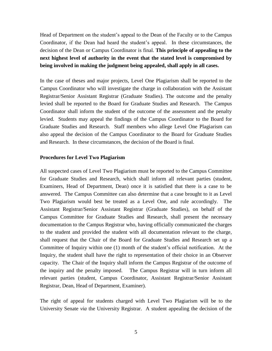Head of Department on the student's appeal to the Dean of the Faculty or to the Campus Coordinator, if the Dean had heard the student's appeal. In these circumstances, the decision of the Dean or Campus Coordinator is final. **This principle of appealing to the next highest level of authority in the event that the stated level is compromised by being involved in making the judgment being appealed, shall apply in all cases.**

In the case of theses and major projects, Level One Plagiarism shall be reported to the Campus Coordinator who will investigate the charge in collaboration with the Assistant Registrar/Senior Assistant Registrar (Graduate Studies). The outcome and the penalty levied shall be reported to the Board for Graduate Studies and Research. The Campus Coordinator shall inform the student of the outcome of the assessment and the penalty levied. Students may appeal the findings of the Campus Coordinator to the Board for Graduate Studies and Research. Staff members who allege Level One Plagiarism can also appeal the decision of the Campus Coordinator to the Board for Graduate Studies and Research. In these circumstances, the decision of the Board is final.

#### **Procedures for Level Two Plagiarism**

All suspected cases of Level Two Plagiarism must be reported to the Campus Committee for Graduate Studies and Research, which shall inform all relevant parties (student, Examiners, Head of Department, Dean) once it is satisfied that there is a case to be answered. The Campus Committee can also determine that a case brought to it as Level Two Plagiarism would best be treated as a Level One, and rule accordingly. The Assistant Registrar/Senior Assistant Registrar (Graduate Studies), on behalf of the Campus Committee for Graduate Studies and Research, shall present the necessary documentation to the Campus Registrar who, having officially communicated the charges to the student and provided the student with all documentation relevant to the charge, shall request that the Chair of the Board for Graduate Studies and Research set up a Committee of Inquiry within one (1) month of the student's official notification. At the Inquiry, the student shall have the right to representation of their choice in an Observer capacity. The Chair of the Inquiry shall inform the Campus Registrar of the outcome of the inquiry and the penalty imposed. The Campus Registrar will in turn inform all relevant parties (student, Campus Coordinator, Assistant Registrar/Senior Assistant Registrar, Dean, Head of Department, Examiner).

The right of appeal for students charged with Level Two Plagiarism will be to the University Senate *via* the University Registrar. A student appealing the decision of the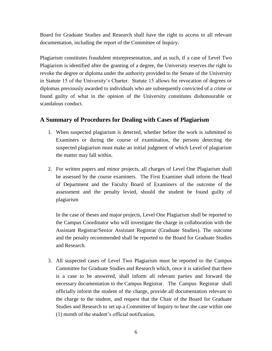Board for Graduate Studies and Research shall have the right to access to all relevant documentation, including the report of the Committee of Inquiry.

Plagiarism constitutes fraudulent misrepresentation, and as such, if a case of Level Two Plagiarism is identified after the granting of a degree, the University reserves the right to revoke the degree or diploma under the authority provided to the Senate of the University in Statute 15 of the University's Charter. Statute 15 allows for revocation of degrees or diplomas previously awarded to individuals who are subsequently convicted of a crime or found guilty of what in the opinion of the University constitutes dishonourable or scandalous conduct.

#### **A Summary of Procedures for Dealing with Cases of Plagiarism**

- 1. When suspected plagiarism is detected, whether before the work is submitted to Examiners or during the course of examination, the persons detecting the suspected plagiarism must make an initial judgment of which Level of plagiarism the matter may fall within.
- 2. For written papers and minor projects, all charges of Level One Plagiarism shall be assessed by the course examiners. The First Examiner shall inform the Head of Department and the Faculty Board of Examiners of the outcome of the assessment and the penalty levied, should the student be found guilty of plagiarism

In the case of theses and major projects, Level One Plagiarism shall be reported to the Campus Coordinator who will investigate the charge in collaboration with the Assistant Registrar/Senior Assistant Registrar (Graduate Studies). The outcome and the penalty recommended shall be reported to the Board for Graduate Studies and Research.

3. All suspected cases of Level Two Plagiarism must be reported to the Campus Committee for Graduate Studies and Research which, once it is satisfied that there is a case to be answered, shall inform all relevant parties and forward the necessary documentation to the Campus Registrar. The Campus Registrar shall officially inform the student of the charge, provide all documentation relevant to the charge to the student, and request that the Chair of the Board for Graduate Studies and Research to set up a Committee of Inquiry to hear the case within one (1) month of the student's official notification.